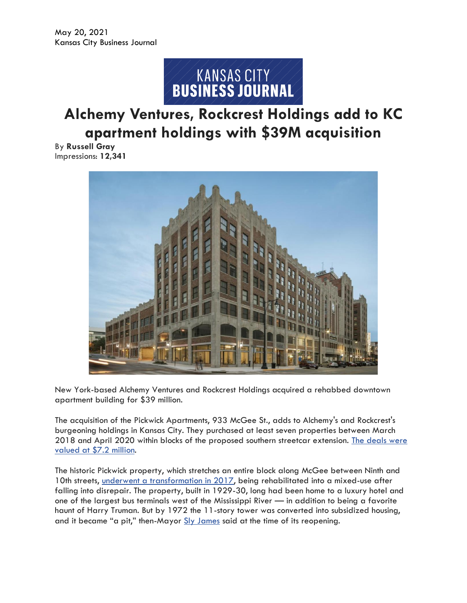

## **Alchemy Ventures, Rockcrest Holdings add to KC apartment holdings with \$39M acquisition**

By **Russell Gray** Impressions: **12,341**



New York-based Alchemy Ventures and Rockcrest Holdings acquired a rehabbed downtown apartment building for \$39 million.

The acquisition of the Pickwick Apartments, 933 McGee St., adds to Alchemy's and Rockcrest's burgeoning holdings in Kansas City. They purchased at least seven properties between March 2018 and April 2020 within blocks of the proposed southern streetcar extension. [The deals were](https://www.bizjournals.com/kansascity/news/2020/12/04/kansas-city-streetcar-extension-development-invest.html)  [valued at \\$7.2 million.](https://www.bizjournals.com/kansascity/news/2020/12/04/kansas-city-streetcar-extension-development-invest.html)

The historic Pickwick property, which stretches an entire block along McGee between Ninth and 10th streets, [underwent a transformation in 2017,](https://www.bizjournals.com/kansascity/news/2017/07/31/pickwick-plazas-rebirth-is-a-great-gift-to-kansas.html) being rehabilitated into a mixed-use after falling into disrepair. The property, built in 1929-30, long had been home to a luxury hotel and one of the largest bus terminals west of the Mississippi River — in addition to being a favorite haunt of Harry Truman. But by 1972 the 11-story tower was converted into subsidized housing, and it became "a pit," then-Mayor [Sly James](https://www.bizjournals.com/kansascity/search/results?q=Sly%20James) said at the time of its reopening.